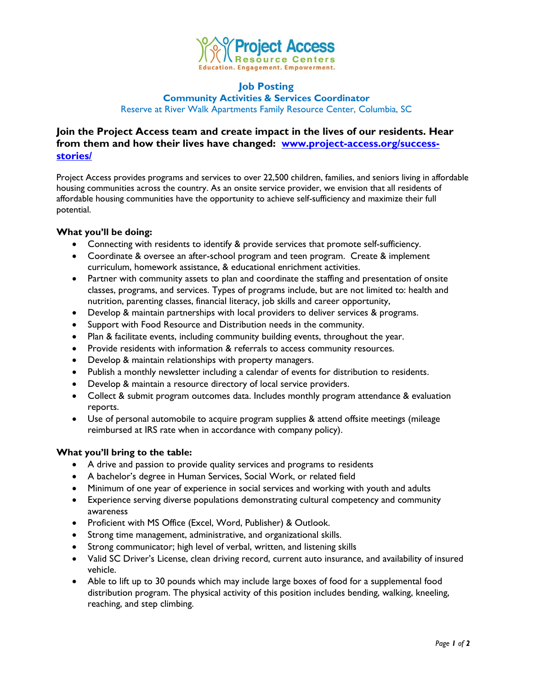

#### **Job Posting Community Activities & Services Coordinator**

Reserve at River Walk Apartments Family Resource Center, Columbia, SC

# **Join the Project Access team and create impact in the lives of our residents. Hear from them and how their lives have changed: [www.project-access.org/success](http://www.project-access.org/success-stories/)[stories/](http://www.project-access.org/success-stories/)**

Project Access provides programs and services to over 22,500 children, families, and seniors living in affordable housing communities across the country. As an onsite service provider, we envision that all residents of affordable housing communities have the opportunity to achieve self-sufficiency and maximize their full potential.

### **What you'll be doing:**

- Connecting with residents to identify & provide services that promote self-sufficiency.
- Coordinate & oversee an after-school program and teen program. Create & implement curriculum, homework assistance, & educational enrichment activities.
- Partner with community assets to plan and coordinate the staffing and presentation of onsite classes, programs, and services. Types of programs include, but are not limited to: health and nutrition, parenting classes, financial literacy, job skills and career opportunity,
- Develop & maintain partnerships with local providers to deliver services & programs.
- Support with Food Resource and Distribution needs in the community.
- Plan & facilitate events, including community building events, throughout the year.
- Provide residents with information & referrals to access community resources.
- Develop & maintain relationships with property managers.
- Publish a monthly newsletter including a calendar of events for distribution to residents.
- Develop & maintain a resource directory of local service providers.
- Collect & submit program outcomes data. Includes monthly program attendance & evaluation reports.
- Use of personal automobile to acquire program supplies & attend offsite meetings (mileage reimbursed at IRS rate when in accordance with company policy).

## **What you'll bring to the table:**

- A drive and passion to provide quality services and programs to residents
- A bachelor's degree in Human Services, Social Work, or related field
- Minimum of one year of experience in social services and working with youth and adults
- Experience serving diverse populations demonstrating cultural competency and community awareness
- Proficient with MS Office (Excel, Word, Publisher) & Outlook.
- Strong time management, administrative, and organizational skills.
- Strong communicator; high level of verbal, written, and listening skills
- Valid SC Driver's License, clean driving record, current auto insurance, and availability of insured vehicle.
- Able to lift up to 30 pounds which may include large boxes of food for a supplemental food distribution program. The physical activity of this position includes bending, walking, kneeling, reaching, and step climbing.